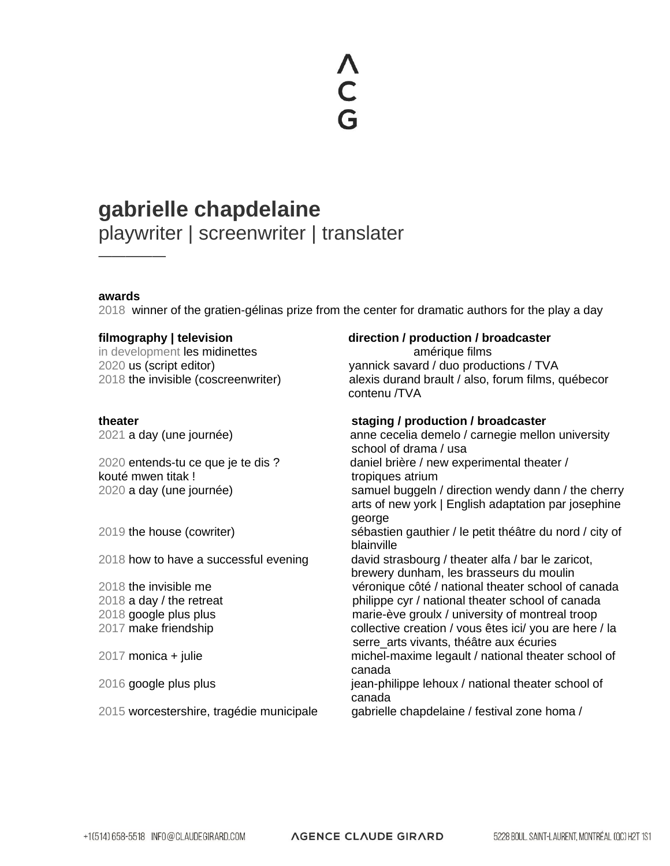# **gabrielle chapdelaine**

playwriter | screenwriter | translater

# **awards**

—————

2018 winner of the gratien-gélinas prize from the center for dramatic authors for the play a day

in development les midinettes and the manufacture films and the amérique films

kouté mwen titak ! tropiques atrium

# **filmography | television direction / production / broadcaster**

2020 us (script editor) yannick savard / duo productions / TVA 2018 the invisible (coscreenwriter) alexis durand brault / also, forum films, québecor contenu /TVA

# **theater staging / production / broadcaster**

2021 a day (une journée) anne cecelia demelo / carnegie mellon university school of drama / usa 2020 entends-tu ce que je te dis ? daniel brière / new experimental theater / 2020 a day (une journée) samuel buggeln / direction wendy dann / the cherry arts of new york | English adaptation par josephine george 2019 the house (cowriter) sébastien gauthier / le petit théâtre du nord / city of blainville 2018 how to have a successful evening david strasbourg / theater alfa / bar le zaricot, brewery dunham, les brasseurs du moulin 2018 the invisible me véronique côté / national theater school of canada 2018 a day / the retreat philippe cyr / national theater school of canada 2018 google plus plus marie-ève groulx / university of montreal troop 2017 make friendship collective creation / vous êtes ici/ you are here / la serre arts vivants, théâtre aux écuries 2017 monica + julie michel-maxime legault / national theater school of canada 2016 google plus plus jean-philippe lehoux / national theater school of canada

2015 worcestershire, tragédie municipale gabrielle chapdelaine / festival zone homa /